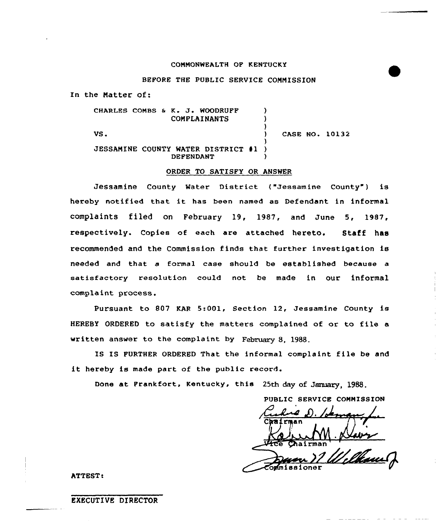#### COMMONWEALTH OF KENTUCKY

### BEFORE THE PUBLIC SERVICE COMMISSION

In the Matter of:

CHARLES COMBS & K. J. WOODRUFF ) COMPLAINANTS ) ) CASE NO. 10132  $\mathsf{VS}\bullet\mathsf{S}\bullet\mathsf{S}\bullet\mathsf{S}\bullet\mathsf{S}\bullet\mathsf{S}\bullet\mathsf{S}\bullet\mathsf{S}\bullet\mathsf{S}\bullet\mathsf{S}\bullet\mathsf{S}\bullet\mathsf{S}\bullet\mathsf{S}\bullet\mathsf{S}\bullet\mathsf{S}\bullet\mathsf{S}\bullet\mathsf{S}\bullet\mathsf{S}\bullet\mathsf{S}\bullet\mathsf{S}\bullet\mathsf{S}\bullet\mathsf{S}\bullet\mathsf{S}\bullet\mathsf{S}\bullet\mathsf{S}\bullet\mathsf{S}\bullet\mathsf{S}\bullet\mathsf{S}\bullet\mathsf{S}\bullet\mathsf{S}\bullet\mathsf{S}\bullet\mathsf$ ) JESSAMINE COUNTY WATER DISTRICT #1 **DEFENDANT** 

### ORDER TO SATISFY OR ANSWER

Jessamine County Water District ("Jessamine County") is hereby notified that it has been named as Defendant in informal complaints filed on February 19, 1987, and June 5, 1987, respectively. Copies of each are attached hereto. Staff has recommended and the Commission finds that further investigation is needed and that a formal case should be established because a satisfactory resolution could not be made in our informal complaint process.

Pursuant to 807 KAR 5:001, Section 12, Jessamine County is HEREBY ORDERED to satisfy the matters complained of or to file a written answer to the complaint by February 8, 1988.

IS IS PURTHER ORDERED That the informal complaint file be and it hereby is made part of the public record.

Done at Frankfort, Kentucky, this 25th day of January, <sup>1988</sup>

PUBLIC SERVICE COMMISSION

ATTEST!

### EXECUTIVE DIRECTOR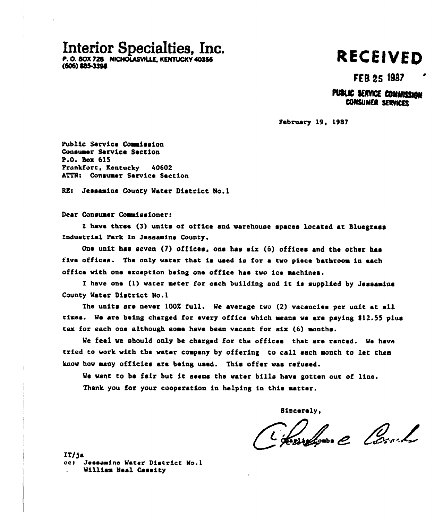# Interior Specialties, Inc.

P. O. BOX 728 NICHOLASVILLE, KENTUCKY 40356 (506) \$85.3390

# RECElVED

# FEB 25 1987

## PUBLIC SERVICE COMMISSION CONSUMER SERVICES

February 19, 1987

Public Service Commission Consussr Service Section P.O. Box 615 Fronkfort, Kentucky 40602 ATTN: Consumer Service Section

RE: Jeseaaine County Water District No.l

Dear Consumer Commissioner:

I have three (3) units of office and warehouse spaces located at Sluegrass Industrial Park En Jessamine County.

One unit hss seven (7) offices, one hss six (6) offices and the other hae five offices. The only water that is used is for a two piece bathroom in each office with one exception being one office hae two ice aachines.

I have one (1) water meter for each building and it is supplied by Jessamine County Water District No. <sup>1</sup>

The units are never 100% full. We average two (2) vacancies per unit at all times. We are being charged for every office which means we are paying \$12.55 plus tax for each one although sone have been vacant for six (6) aonthe.

We feel we should only be charged for the offices that are rented. We have tried to work with the water company by offering to call each month to let them know how aany officies are being used. This offer was refused.

We want to be fair but it seems the water bills have gotten out of line. Thank you for your cooperation in helping in this natter.

Sincerely.

Charles 2 Coule

IT/)a cc: Jessamine Water District No.1 William Neal Caseity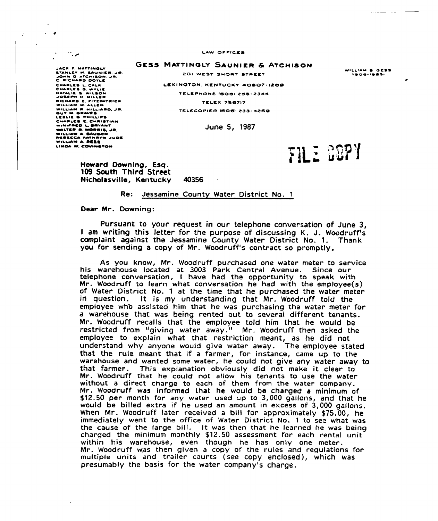LAW OFFICES

GESS MATTINGLY SAUNIER & ATCHISON

201 WEST SHORT STREET

JACK F. MATTINGLY Januer P. Haunier, Jr.<br>Byanuer H. Saunier, Jr.<br>John G. Atchison, Jr.<br>C. Richard boyue CHARLES L. CALH<br>Charles G. Wylie<br>Hatalie S. Wilson<br>Joseph H. Miller<br>Richard E. Pitzpatrici WILLIAM W ALLEN<br>WILLIAM A. HILLIARO, JP.<br>GUY M. GRAVES C. CHRISTIAN<br>WINTPRO L. BAVANT<br>WINTPRO L. BAVANT<br>WILLIAM A. BAUBCH.<br>WILLIAM A. BAUBCH.<br>WILLIAM A. BAUBCH.<br>WILLIAM A. BAUBCH.<br>JU WILLIAM A. BAUBCH. WILLIAM A. REES LINDA W. COVINSTON

 $\ddot{\phantom{a}}$ 

 $\epsilon$ 

LEXINGTON. KENTUCKY 40507-1269 TELEPHONE (606) 255-2344 TELEX 756717 TELECOPIER 18061 233-4269

June 5, 1987

FILE GOPY

Howard Downing, Esq. 109 South Third Street Nicholasville, Kentucky 40356

#### Re: Jessamine County Water District No. <sup>1</sup>

Dear Mr. Downing:

Pursuant to your request in our telephone conversation of June 3, <sup>I</sup> am writing this letter for the purpose of discussing K. J. Woodruff's complaint against the Jessamine County Water District No. 1. Thank you for sending a copy of Mr. Woodruff's contract so promptly.

As you know, Mr. Woodruff purchased one water meter to service his warehouse located at 3003 Park Central Avenue. Since our telephone conversation, <sup>I</sup> have had the opportunity to speak with Mr. Woodruff to learn what conversation he had with the employee(s) of Water District No. 1 at the time that he purchased the water meter in question. It is my understanding that Mr. Woodruff told the employee who assisted him that he was purchasing the water meter for a warehouse that was being rented out to several different tenants. Mr. Woodruff recalls that the employee told him that he would be restricted from "giving water away." Mr. Woodruff then asked the employee to explain what that restriction meant, as he did not understand why anyone would give water away. The employee stated that the rule meant that if a farmer, for instance, came up to the warehouse and wanted some water, he could not give any water away to that farmer. This explanation obviously did not make it clear to Mr. Woodruff that he could not allow his tenants to use the water without a direct charge to each of them from the water company. Ivlr. Woodruff was informed that he would be charged a minimum of \$12.50 per month for any water used up to 3,000 gallons, and that he would be billed extra if he used an amount in excess of 3,000 gallons. When Mr. Woodruff later received a bill for approximately \$75.00, he immediately went to the office of Water District No. 1 to see what was the cause of the large bill. It was then that he learned he was being charged the minimum monthly \$12.50 assessment for each rental unit within his warehouse, even though he has only one meter. Mr. Woodruff was then given a copy of the rules and regulations for multiple units and trailer courts (see copy enclosed), which was presumably the basis for the water company's charge.

WILLIAM & GESS<br>Opog-1985)